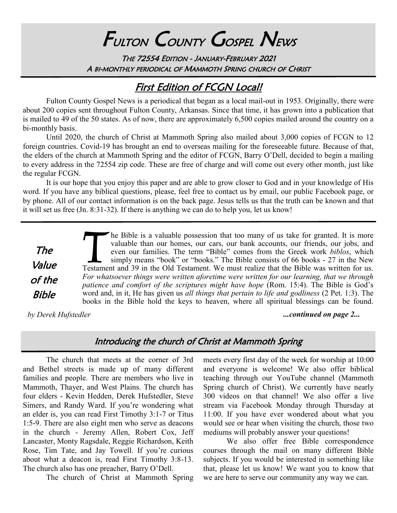# FULTON COUNTY GOSPEL NEWS

THE 72554 EDITION - JANUARY-FEBRUARY 2021 A BI-MONTHLY PERIODICAL OF MAMMOTH SPRING CHURCH OF CHRIST

# First Edition of FCGN Local!

Fulton County Gospel News is a periodical that began as a local mail-out in 1953. Originally, there were about 200 copies sent throughout Fulton County, Arkansas. Since that time, it has grown into a publication that is mailed to 49 of the 50 states. As of now, there are approximately 6,500 copies mailed around the country on a bi-monthly basis.

Until 2020, the church of Christ at Mammoth Spring also mailed about 3,000 copies of FCGN to 12 foreign countries. Covid-19 has brought an end to overseas mailing for the foreseeable future. Because of that, the elders of the church at Mammoth Spring and the editor of FCGN, Barry O'Dell, decided to begin a mailing to every address in the 72554 zip code. These are free of charge and will come out every other month, just like the regular FCGN.

It is our hope that you enjoy this paper and are able to grow closer to God and in your knowledge of His word. If you have any biblical questions, please, feel free to contact us by email, our public Facebook page, or by phone. All of our contact information is on the back page. Jesus tells us that the truth can be known and that it will set us free (Jn. 8:31-32). If there is anything we can do to help you, let us know!

The Value of the Bible

Testame<br>Testame<br>For wha he Bible is a valuable possession that too many of us take for granted. It is more valuable than our homes, our cars, our bank accounts, our friends, our jobs, and even our families. The term "Bible" comes from the Greek work *biblos*, which simply means "book" or "books." The Bible consists of 66 books - 27 in the New Testament and 39 in the Old Testament. We must realize that the Bible was written for us. *For whatsoever things were written aforetime were written for our learning, that we through patience and comfort of the scriptures might have hope* (Rom. 15:4). The Bible is God's word and, in it, He has given us *all things that pertain to life and godliness* (2 Pet. 1:3). The books in the Bible hold the keys to heaven, where all spiritual blessings can be found.

*by Derek Hufstedler ...continued on page 2...*

## Introducing the church of Christ at Mammoth Spring

The church that meets at the corner of 3rd and Bethel streets is made up of many different families and people. There are members who live in Mammoth, Thayer, and West Plains. The church has four elders - Kevin Hedden, Derek Hufstedler, Steve Simers, and Randy Ward. If you're wondering what an elder is, you can read First Timothy 3:1-7 or Titus 1:5-9. There are also eight men who serve as deacons in the church - Jeremy Allen, Robert Cox, Jeff Lancaster, Monty Ragsdale, Reggie Richardson, Keith Rose, Tim Tate, and Jay Towell. If you're curious about what a deacon is, read First Timothy 3:8-13. The church also has one preacher, Barry O'Dell.

The church of Christ at Mammoth Spring

meets every first day of the week for worship at 10:00 and everyone is welcome! We also offer biblical teaching through our YouTube channel (Mammoth Spring church of Christ). We currently have nearly 300 videos on that channel! We also offer a live stream via Facebook Monday through Thursday at 11:00. If you have ever wondered about what you would see or hear when visiting the church, those two mediums will probably answer your questions!

We also offer free Bible correspondence courses through the mail on many different Bible subjects. If you would be interested in something like that, please let us know! We want you to know that we are here to serve our community any way we can.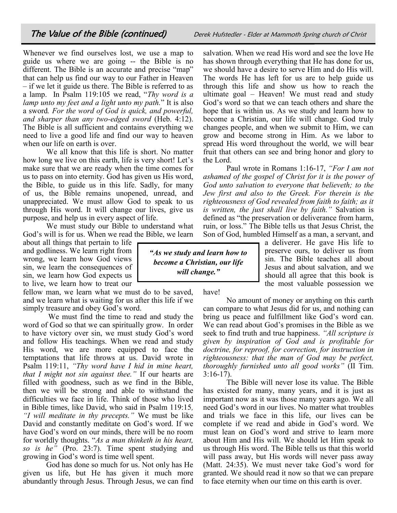Whenever we find ourselves lost, we use a map to guide us where we are going -- the Bible is no different. The Bible is an accurate and precise "map" that can help us find our way to our Father in Heaven – if we let it guide us there. The Bible is referred to as a lamp. In Psalm 119:105 we read, "*Thy word is a lamp unto my feet and a light unto my path.*" It is also a sword*. For the word of God is quick, and powerful, and sharper than any two-edged sword* (Heb. 4:12). The Bible is all sufficient and contains everything we need to live a good life and find our way to heaven when our life on earth is over.

We all know that this life is short. No matter how long we live on this earth, life is very short! Let's make sure that we are ready when the time comes for us to pass on into eternity. God has given us His word, the Bible, to guide us in this life. Sadly, for many of us, the Bible remains unopened, unread, and unappreciated. We must allow God to speak to us through His word. It will change our lives, give us purpose, and help us in every aspect of life.

We must study our Bible to understand what God's will is for us. When we read the Bible, we learn

about all things that pertain to life and godliness. We learn right from wrong, we learn how God views sin, we learn the consequences of sin, we learn how God expects us to live, we learn how to treat our

fellow man, we learn what we must do to be saved, and we learn what is waiting for us after this life if we simply treasure and obey God's word.

We must find the time to read and study the word of God so that we can spiritually grow. In order to have victory over sin, we must study God's word and follow His teachings. When we read and study His word, we are more equipped to face the temptations that life throws at us. David wrote in Psalm 119:11, *"Thy word have I hid in mine heart, that I might not sin against thee."* If our hearts are filled with goodness, such as we find in the Bible, then we will be strong and able to withstand the difficulties we face in life. Think of those who lived in Bible times, like David, who said in Psalm 119:15*, "I will meditate in thy precepts."* We must be like David and constantly meditate on God's word. If we have God's word on our minds, there will be no room for worldly thoughts. "*As a man thinketh in his heart, so is he"* (Pro. 23:7). Time spent studying and growing in God's word is time well spent.

God has done so much for us. Not only has He given us life, but He has given it much more abundantly through Jesus. Through Jesus, we can find salvation. When we read His word and see the love He has shown through everything that He has done for us, we should have a desire to serve Him and do His will. The words He has left for us are to help guide us through this life and show us how to reach the ultimate goal – Heaven! We must read and study God's word so that we can teach others and share the hope that is within us. As we study and learn how to become a Christian, our life will change. God truly changes people, and when we submit to Him, we can grow and become strong in Him. As we labor to spread His word throughout the world, we will bear fruit that others can see and bring honor and glory to the Lord.

Paul wrote in Romans 1:16-17, *"For I am not ashamed of the gospel of Christ for it is the power of God unto salvation to everyone that believeth; to the Jew first and also to the Greek. For therein is the righteousness of God revealed from faith to faith; as it is written, the just shall live by faith."* Salvation is defined as "the preservation or deliverance from harm, ruin, or loss." The Bible tells us that Jesus Christ, the Son of God, humbled Himself as a man, a servant, and

> a deliverer. He gave His life to preserve ours, to deliver us from sin. The Bible teaches all about Jesus and about salvation, and we should all agree that this book is the most valuable possession we

*"As we study and learn how to become a Christian, our life will change."*

have!

No amount of money or anything on this earth can compare to what Jesus did for us, and nothing can bring us peace and fulfillment like God's word can. We can read about God's promises in the Bible as we seek to find truth and true happiness. *"All scripture is given by inspiration of God and is profitable for doctrine, for reproof, for correction, for instruction in righteousness: that the man of God may be perfect, thoroughly furnished unto all good works"* (II Tim. 3:16-17).

The Bible will never lose its value. The Bible has existed for many, many years, and it is just as important now as it was those many years ago. We all need God's word in our lives. No matter what troubles and trials we face in this life, our lives can be complete if we read and abide in God's word. We must lean on God's word and strive to learn more about Him and His will. We should let Him speak to us through His word. The Bible tells us that this world will pass away, but His words will never pass away (Matt. 24:35). We must never take God's word for granted. We should read it now so that we can prepare to face eternity when our time on this earth is over.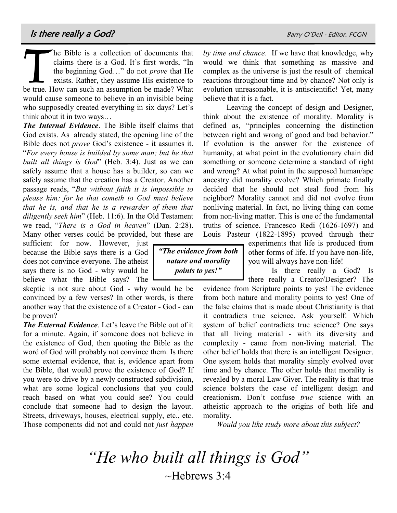T he Bible is a collection of documents that claims there is a God. It's first words, "In the beginning God…" do not *prove* that He exists. Rather, they assume His existence to be true. How can such an assumption be made? What would cause someone to believe in an invisible being who supposedly created everything in six days? Let's think about it in two ways…

*The Internal Evidence*. The Bible itself claims that God exists. As already stated, the opening line of the Bible does not *prove* God's existence - it assumes it. "*For every house is builded by some man; but he that built all things is God*" (Heb. 3:4). Just as we can safely assume that a house has a builder, so can we safely assume that the creation has a Creator. Another passage reads, "*But without faith it is impossible to please him: for he that cometh to God must believe that he is, and that he is a rewarder of them that diligently seek him*" (Heb. 11:6). In the Old Testament we read, "*There is a God in heaven*" (Dan. 2:28). Many other verses could be provided, but these are

sufficient for now. However, just because the Bible says there is a God does not convince everyone. The atheist says there is no God - why would he believe what the Bible says? The

skeptic is not sure about God - why would he be convinced by a few verses? In other words, is there another way that the existence of a Creator - God - can be proven?

*The External Evidence*. Let's leave the Bible out of it for a minute. Again, if someone does not believe in the existence of God, then quoting the Bible as the word of God will probably not convince them. Is there some external evidence, that is, evidence apart from the Bible, that would prove the existence of God? If you were to drive by a newly constructed subdivision, what are some logical conclusions that you could reach based on what you could see? You could conclude that someone had to design the layout. Streets, driveways, houses, electrical supply, etc., etc. Those components did not and could not *just happen* 

*by time and chance*. If we have that knowledge, why would we think that something as massive and complex as the universe is just the result of chemical reactions throughout time and by chance? Not only is evolution unreasonable, it is antiscientific! Yet, many believe that it is a fact.

Leaving the concept of design and Designer, think about the existence of morality. Morality is defined as, "principles concerning the distinction between right and wrong of good and bad behavior." If evolution is the answer for the existence of humanity, at what point in the evolutionary chain did something or someone determine a standard of right and wrong? At what point in the supposed human/ape ancestry did morality evolve? Which primate finally decided that he should not steal food from his neighbor? Morality cannot and did not evolve from nonliving material. In fact, no living thing can come from non-living matter. This is one of the fundamental truths of science. Francesco Redi (1626-1697) and Louis Pasteur (1822-1895) proved through their

*"The evidence from both nature and morality points to yes!"*

experiments that life is produced from other forms of life. If you have non-life, you will always have non-life!

Is there really a God? Is there really a Creator/Designer? The

evidence from Scripture points to yes! The evidence from both nature and morality points to yes! One of the false claims that is made about Christianity is that it contradicts true science. Ask yourself: Which system of belief contradicts true science? One says that all living material - with its diversity and complexity - came from non-living material. The other belief holds that there is an intelligent Designer. One system holds that morality simply evolved over time and by chance. The other holds that morality is revealed by a moral Law Giver. The reality is that true science bolsters the case of intelligent design and creationism. Don't confuse *true* science with an atheistic approach to the origins of both life and morality.

*Would you like study more about this subject?*

*"He who built all things is God"* ~Hebrews 3:4